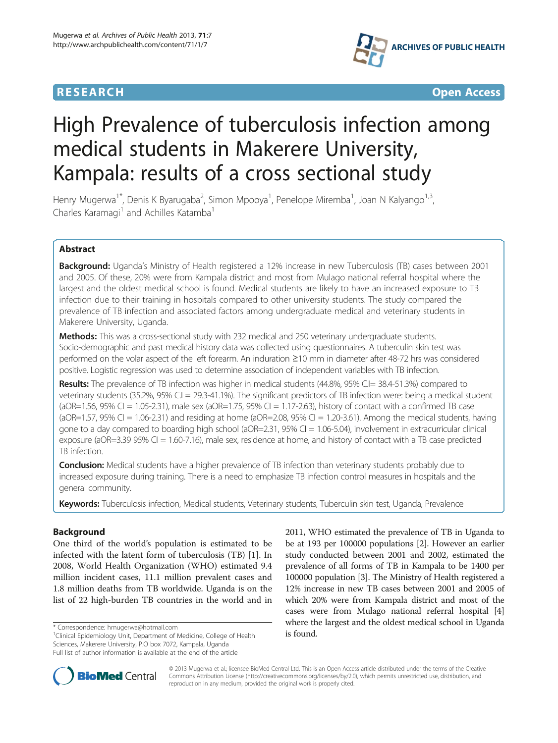# **RESEARCH CHEAR CHEART CHEART CHEART CHEART CHEART CHEART CHEART CHEAP CHEAP CHEAP CHEAP CHEAP CHEAP CHEAP CHEAP**



# High Prevalence of tuberculosis infection among medical students in Makerere University, Kampala: results of a cross sectional study

Henry Mugerwa<sup>1\*</sup>, Denis K Byarugaba<sup>2</sup>, Simon Mpooya<sup>1</sup>, Penelope Miremba<sup>1</sup>, Joan N Kalyango<sup>1,3</sup>, Charles Karamagi<sup>1</sup> and Achilles Katamba<sup>1</sup>

# Abstract

Background: Uganda's Ministry of Health registered a 12% increase in new Tuberculosis (TB) cases between 2001 and 2005. Of these, 20% were from Kampala district and most from Mulago national referral hospital where the largest and the oldest medical school is found. Medical students are likely to have an increased exposure to TB infection due to their training in hospitals compared to other university students. The study compared the prevalence of TB infection and associated factors among undergraduate medical and veterinary students in Makerere University, Uganda.

**Methods:** This was a cross-sectional study with 232 medical and 250 veterinary undergraduate students. Socio-demographic and past medical history data was collected using questionnaires. A tuberculin skin test was performed on the volar aspect of the left forearm. An induration ≥10 mm in diameter after 48-72 hrs was considered positive. Logistic regression was used to determine association of independent variables with TB infection.

Results: The prevalence of TB infection was higher in medical students (44.8%, 95% C.I= 38.4-51.3%) compared to veterinary students (35.2%, 95% C.I = 29.3-41.1%). The significant predictors of TB infection were: being a medical student  $(aOR=1.56, 95\% \text{ Cl} = 1.05-2.31)$ , male sex  $(aOR=1.75, 95\% \text{ Cl} = 1.17-2.63)$ , history of contact with a confirmed TB case  $(aOR=1.57, 95\% \text{ CI} = 1.06-2.31)$  and residing at home  $(aOR=2.08, 95\% \text{ CI} = 1.20-3.61)$ . Among the medical students, having gone to a day compared to boarding high school (aOR=2.31, 95% CI = 1.06-5.04), involvement in extracurricular clinical exposure (aOR=3.39 95% CI = 1.60-7.16), male sex, residence at home, and history of contact with a TB case predicted TB infection.

**Conclusion:** Medical students have a higher prevalence of TB infection than veterinary students probably due to increased exposure during training. There is a need to emphasize TB infection control measures in hospitals and the general community.

Keywords: Tuberculosis infection, Medical students, Veterinary students, Tuberculin skin test, Uganda, Prevalence

# Background

One third of the world's population is estimated to be infected with the latent form of tuberculosis (TB) [\[1](#page-5-0)]. In 2008, World Health Organization (WHO) estimated 9.4 million incident cases, 11.1 million prevalent cases and 1.8 million deaths from TB worldwide. Uganda is on the list of 22 high-burden TB countries in the world and in

2011, WHO estimated the prevalence of TB in Uganda to be at 193 per 100000 populations [[2\]](#page-5-0). However an earlier study conducted between 2001 and 2002, estimated the prevalence of all forms of TB in Kampala to be 1400 per 100000 population [\[3\]](#page-5-0). The Ministry of Health registered a 12% increase in new TB cases between 2001 and 2005 of which 20% were from Kampala district and most of the cases were from Mulago national referral hospital [[4](#page-5-0)] where the largest and the oldest medical school in Uganda



© 2013 Mugerwa et al.; licensee BioMed Central Ltd. This is an Open Access article distributed under the terms of the Creative Commons Attribution License [\(http://creativecommons.org/licenses/by/2.0\)](http://creativecommons.org/licenses/by/2.0), which permits unrestricted use, distribution, and reproduction in any medium, provided the original work is properly cited.

is found. \* Correspondence: [hmugerwa@hotmail.com](mailto:hmugerwa@hotmail.com) <sup>1</sup> Clinical Epidemiology Unit, Department of Medicine, College of Health Sciences, Makerere University, P.O box 7072, Kampala, Uganda Full list of author information is available at the end of the article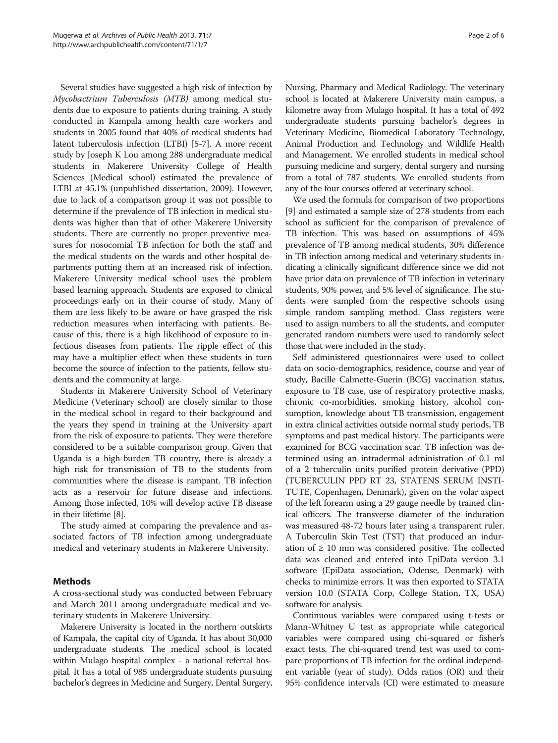Several studies have suggested a high risk of infection by Mycobactrium Tuberculosis (MTB) among medical students due to exposure to patients during training. A study conducted in Kampala among health care workers and students in 2005 found that 40% of medical students had latent tuberculosis infection (LTBI) [\[5](#page-5-0)-[7\]](#page-5-0). A more recent study by Joseph K Lou among 288 undergraduate medical students in Makerere University College of Health Sciences (Medical school) estimated the prevalence of LTBI at 45.1% (unpublished dissertation, 2009). However, due to lack of a comparison group it was not possible to determine if the prevalence of TB infection in medical students was higher than that of other Makerere University students. There are currently no proper preventive measures for nosocomial TB infection for both the staff and the medical students on the wards and other hospital departments putting them at an increased risk of infection. Makerere University medical school uses the problem based learning approach. Students are exposed to clinical proceedings early on in their course of study. Many of them are less likely to be aware or have grasped the risk reduction measures when interfacing with patients. Because of this, there is a high likelihood of exposure to infectious diseases from patients. The ripple effect of this may have a multiplier effect when these students in turn become the source of infection to the patients, fellow students and the community at large.

Students in Makerere University School of Veterinary Medicine (Veterinary school) are closely similar to those in the medical school in regard to their background and the years they spend in training at the University apart from the risk of exposure to patients. They were therefore considered to be a suitable comparison group. Given that Uganda is a high-burden TB country, there is already a high risk for transmission of TB to the students from communities where the disease is rampant. TB infection acts as a reservoir for future disease and infections. Among those infected, 10% will develop active TB disease in their lifetime [\[8\]](#page-5-0).

The study aimed at comparing the prevalence and associated factors of TB infection among undergraduate medical and veterinary students in Makerere University.

# Methods

A cross-sectional study was conducted between February and March 2011 among undergraduate medical and veterinary students in Makerere University.

Makerere University is located in the northern outskirts of Kampala, the capital city of Uganda. It has about 30,000 undergraduate students. The medical school is located within Mulago hospital complex - a national referral hospital. It has a total of 985 undergraduate students pursuing bachelor's degrees in Medicine and Surgery, Dental Surgery, Nursing, Pharmacy and Medical Radiology. The veterinary school is located at Makerere University main campus, a kilometre away from Mulago hospital. It has a total of 492 undergraduate students pursuing bachelor's degrees in Veterinary Medicine, Biomedical Laboratory Technology, Animal Production and Technology and Wildlife Health and Management. We enrolled students in medical school pursuing medicine and surgery, dental surgery and nursing from a total of 787 students. We enrolled students from any of the four courses offered at veterinary school.

We used the formula for comparison of two proportions [[9\]](#page-5-0) and estimated a sample size of 278 students from each school as sufficient for the comparison of prevalence of TB infection. This was based on assumptions of 45% prevalence of TB among medical students, 30% difference in TB infection among medical and veterinary students indicating a clinically significant difference since we did not have prior data on prevalence of TB infection in veterinary students, 90% power, and 5% level of significance. The students were sampled from the respective schools using simple random sampling method. Class registers were used to assign numbers to all the students, and computer generated random numbers were used to randomly select those that were included in the study.

Self administered questionnaires were used to collect data on socio-demographics, residence, course and year of study, Bacille Calmette-Guerin (BCG) vaccination status, exposure to TB case, use of respiratory protective masks, chronic co-morbidities, smoking history, alcohol consumption, knowledge about TB transmission, engagement in extra clinical activities outside normal study periods, TB symptoms and past medical history. The participants were examined for BCG vaccination scar. TB infection was determined using an intradermal administration of 0.1 ml of a 2 tuberculin units purified protein derivative (PPD) (TUBERCULIN PPD RT 23, STATENS SERUM INSTI-TUTE, Copenhagen, Denmark), given on the volar aspect of the left forearm using a 29 gauge needle by trained clinical officers. The transverse diameter of the induration was measured 48-72 hours later using a transparent ruler. A Tuberculin Skin Test (TST) that produced an induration of  $\geq 10$  mm was considered positive. The collected data was cleaned and entered into EpiData version 3.1 software (EpiData association, Odense, Denmark) with checks to minimize errors. It was then exported to STATA version 10.0 (STATA Corp, College Station, TX, USA) software for analysis.

Continuous variables were compared using t-tests or Mann-Whitney U test as appropriate while categorical variables were compared using chi-squared or fisher's exact tests. The chi-squared trend test was used to compare proportions of TB infection for the ordinal independent variable (year of study). Odds ratios (OR) and their 95% confidence intervals (CI) were estimated to measure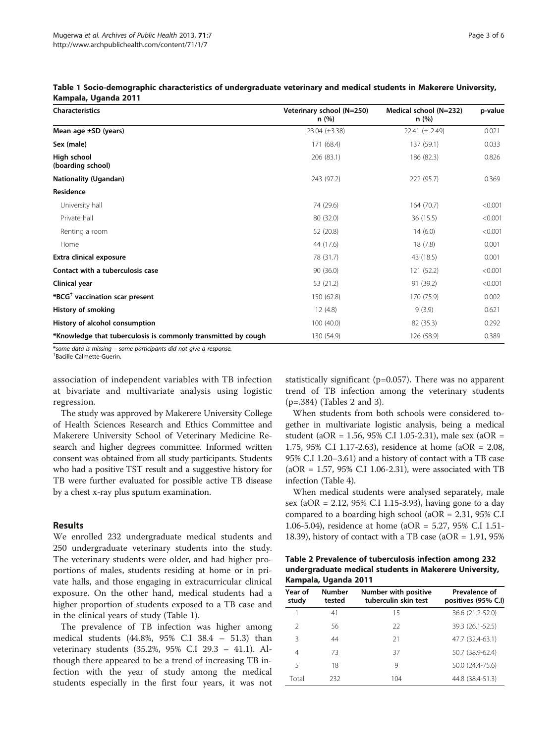| n (%)              | n (%)                     | p-value                |
|--------------------|---------------------------|------------------------|
| $23.04 (\pm 3.38)$ | 22.41 $(\pm 2.49)$        | 0.021                  |
| 171 (68.4)         | 137 (59.1)                | 0.033                  |
| 206 (83.1)         | 186 (82.3)                | 0.826                  |
| 243 (97.2)         | 222 (95.7)                | 0.369                  |
|                    |                           |                        |
| 74 (29.6)          | 164 (70.7)                | < 0.001                |
| 80 (32.0)          | 36 (15.5)                 | < 0.001                |
| 52 (20.8)          | 14(6.0)                   | < 0.001                |
| 44 (17.6)          | 18(7.8)                   | 0.001                  |
| 78 (31.7)          | 43 (18.5)                 | 0.001                  |
| 90 (36.0)          | 121 (52.2)                | < 0.001                |
| 53 (21.2)          | 91 (39.2)                 | < 0.001                |
| 150 (62.8)         | 170 (75.9)                | 0.002                  |
| 12(4.8)            | 9(3.9)                    | 0.621                  |
| 100(40.0)          | 82 (35.3)                 | 0.292                  |
| 130 (54.9)         | 126 (58.9)                | 0.389                  |
|                    | Veterinary school (N=250) | Medical school (N=232) |

Table 1 Socio-demographic characteristics of undergraduate veterinary and medical students in Makerere University, Kampala, Uganda 2011

\*some data is missing – some participants did not give a response. †

Bacille Calmette-Guerin.

association of independent variables with TB infection at bivariate and multivariate analysis using logistic regression.

The study was approved by Makerere University College of Health Sciences Research and Ethics Committee and Makerere University School of Veterinary Medicine Research and higher degrees committee. Informed written consent was obtained from all study participants. Students who had a positive TST result and a suggestive history for TB were further evaluated for possible active TB disease by a chest x-ray plus sputum examination.

# Results

We enrolled 232 undergraduate medical students and 250 undergraduate veterinary students into the study. The veterinary students were older, and had higher proportions of males, students residing at home or in private halls, and those engaging in extracurricular clinical exposure. On the other hand, medical students had a higher proportion of students exposed to a TB case and in the clinical years of study (Table 1).

The prevalence of TB infection was higher among medical students (44.8%, 95% C.I 38.4 – 51.3) than veterinary students (35.2%, 95% C.I 29.3 – 41.1). Although there appeared to be a trend of increasing TB infection with the year of study among the medical students especially in the first four years, it was not statistically significant (p=0.057). There was no apparent trend of TB infection among the veterinary students (p=.384) (Tables 2 and [3\)](#page-3-0).

When students from both schools were considered together in multivariate logistic analysis, being a medical student (aOR = 1.56, 95% C.I 1.05-2.31), male sex (aOR = 1.75, 95% C.I 1.17-2.63), residence at home (aOR = 2.08, 95% C.I 1.20–3.61) and a history of contact with a TB case  $(aOR = 1.57, 95\% \text{ C.I } 1.06-2.31)$ , were associated with TB infection (Table [4\)](#page-3-0).

When medical students were analysed separately, male sex (aOR = 2.12, 95% C.I 1.15-3.93), having gone to a day compared to a boarding high school (aOR = 2.31, 95% C.I 1.06-5.04), residence at home (aOR = 5.27, 95% C.I 1.51- 18.39), history of contact with a TB case (aOR = 1.91, 95%

Table 2 Prevalence of tuberculosis infection among 232 undergraduate medical students in Makerere University, Kampala, Uganda 2011

| Year of<br>study | <b>Number</b><br>tested | Number with positive<br>tuberculin skin test | Prevalence of<br>positives (95% C.I) |
|------------------|-------------------------|----------------------------------------------|--------------------------------------|
|                  | 41                      | 15                                           | 36.6 (21.2-52.0)                     |
| 2                | 56                      | 22                                           | 39.3 (26.1-52.5)                     |
| 3                | 44                      | 21                                           | 47.7 (32.4-63.1)                     |
| 4                | 73                      | 37                                           | 50.7 (38.9-62.4)                     |
| 5                | 18                      | 9                                            | 50.0 (24.4-75.6)                     |
| Total            | 232                     | 104                                          | 44.8 (38.4-51.3)                     |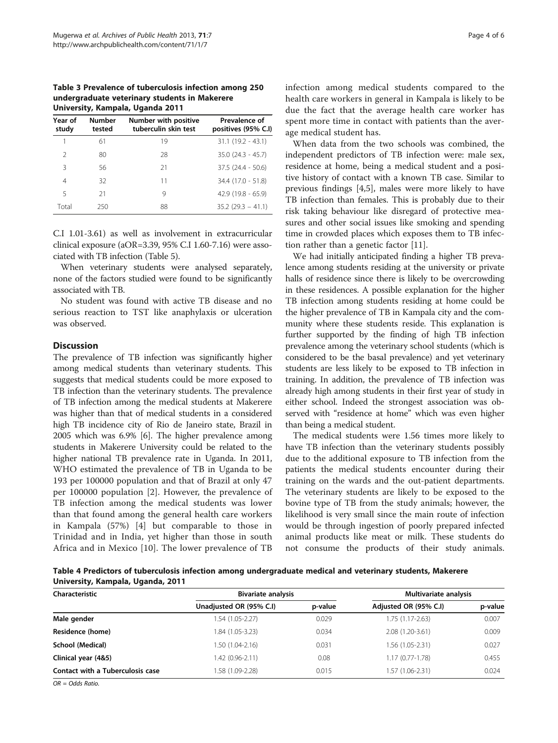<span id="page-3-0"></span>Table 3 Prevalence of tuberculosis infection among 250 undergraduate veterinary students in Makerere University, Kampala, Uganda 2011

| Year of<br>study | <b>Number</b><br>tested | Number with positive<br>tuberculin skin test | Prevalence of<br>positives (95% C.I) |
|------------------|-------------------------|----------------------------------------------|--------------------------------------|
|                  | 61                      | 19                                           | $31.1(19.2 - 43.1)$                  |
| $\mathcal{P}$    | 80                      | 28                                           | $35.0$ (24.3 - 45.7)                 |
| Β                | 56                      | 21                                           | $37.5(24.4 - 50.6)$                  |
| 4                | 32                      | 11                                           | 34.4 (17.0 - 51.8)                   |
| 5                | 21                      | 9                                            | $42.9(19.8 - 65.9)$                  |
| Total            | 250                     | 88                                           | $35.2(29.3 - 41.1)$                  |

C.I 1.01-3.61) as well as involvement in extracurricular clinical exposure (aOR=3.39, 95% C.I 1.60-7.16) were associated with TB infection (Table [5](#page-4-0)).

When veterinary students were analysed separately, none of the factors studied were found to be significantly associated with TB.

No student was found with active TB disease and no serious reaction to TST like anaphylaxis or ulceration was observed.

## **Discussion**

The prevalence of TB infection was significantly higher among medical students than veterinary students. This suggests that medical students could be more exposed to TB infection than the veterinary students. The prevalence of TB infection among the medical students at Makerere was higher than that of medical students in a considered high TB incidence city of Rio de Janeiro state, Brazil in 2005 which was 6.9% [[6\]](#page-5-0). The higher prevalence among students in Makerere University could be related to the higher national TB prevalence rate in Uganda. In 2011, WHO estimated the prevalence of TB in Uganda to be 193 per 100000 population and that of Brazil at only 47 per 100000 population [\[2](#page-5-0)]. However, the prevalence of TB infection among the medical students was lower than that found among the general health care workers in Kampala (57%) [[4\]](#page-5-0) but comparable to those in Trinidad and in India, yet higher than those in south Africa and in Mexico [\[10](#page-5-0)]. The lower prevalence of TB infection among medical students compared to the health care workers in general in Kampala is likely to be due the fact that the average health care worker has spent more time in contact with patients than the average medical student has.

When data from the two schools was combined, the independent predictors of TB infection were: male sex, residence at home, being a medical student and a positive history of contact with a known TB case. Similar to previous findings [[4,5\]](#page-5-0), males were more likely to have TB infection than females. This is probably due to their risk taking behaviour like disregard of protective measures and other social issues like smoking and spending time in crowded places which exposes them to TB infection rather than a genetic factor [[11\]](#page-5-0).

We had initially anticipated finding a higher TB prevalence among students residing at the university or private halls of residence since there is likely to be overcrowding in these residences. A possible explanation for the higher TB infection among students residing at home could be the higher prevalence of TB in Kampala city and the community where these students reside. This explanation is further supported by the finding of high TB infection prevalence among the veterinary school students (which is considered to be the basal prevalence) and yet veterinary students are less likely to be exposed to TB infection in training. In addition, the prevalence of TB infection was already high among students in their first year of study in either school. Indeed the strongest association was observed with "residence at home" which was even higher than being a medical student.

The medical students were 1.56 times more likely to have TB infection than the veterinary students possibly due to the additional exposure to TB infection from the patients the medical students encounter during their training on the wards and the out-patient departments. The veterinary students are likely to be exposed to the bovine type of TB from the study animals; however, the likelihood is very small since the main route of infection would be through ingestion of poorly prepared infected animal products like meat or milk. These students do not consume the products of their study animals.

Table 4 Predictors of tuberculosis infection among undergraduate medical and veterinary students, Makerere University, Kampala, Uganda, 2011

| Characteristic                   | <b>Bivariate analysis</b> |         | Multivariate analysis |         |
|----------------------------------|---------------------------|---------|-----------------------|---------|
|                                  | Unadjusted OR (95% C.I)   | p-value | Adjusted OR (95% C.I) | p-value |
| Male gender                      | 1.54 (1.05-2.27)          | 0.029   | $1.75(1.17-2.63)$     | 0.007   |
| Residence (home)                 | 1.84 (1.05-3.23)          | 0.034   | 2.08 (1.20-3.61)      | 0.009   |
| School (Medical)                 | 1.50 (1.04-2.16)          | 0.031   | 1.56 (1.05-2.31)      | 0.027   |
| Clinical year (4&5)              | 1.42 (0.96-2.11)          | 0.08    | $1.17(0.77-1.78)$     | 0.455   |
| Contact with a Tuberculosis case | 1.58 (1.09-2.28)          | 0.015   | 1.57 (1.06-2.31)      | 0.024   |

 $OR = Odds$  Ratio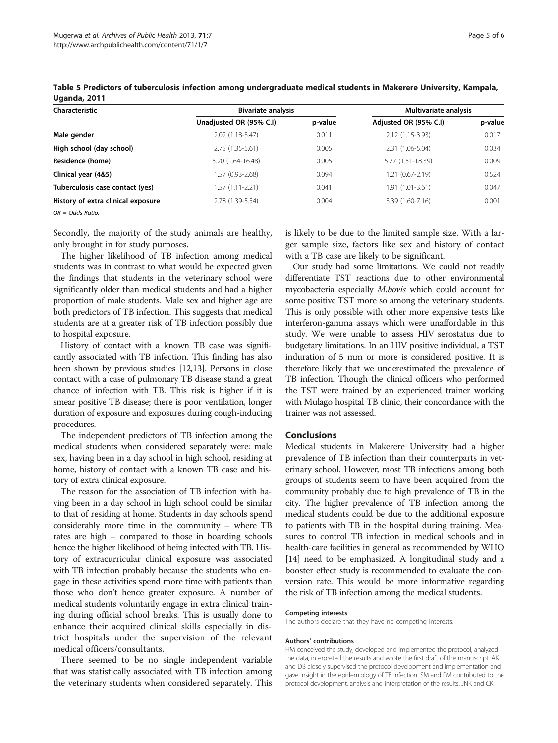| Characteristic                     | <b>Bivariate analysis</b> |         | Multivariate analysis |         |
|------------------------------------|---------------------------|---------|-----------------------|---------|
|                                    | Unadjusted OR (95% C.I)   | p-value | Adjusted OR (95% C.I) | p-value |
| Male gender                        | $2.02(1.18-3.47)$         | 0.011   | 2.12 (1.15-3.93)      | 0.017   |
| High school (day school)           | 2.75 (1.35-5.61)          | 0.005   | 2.31 (1.06-5.04)      | 0.034   |
| Residence (home)                   | 5.20 (1.64-16.48)         | 0.005   | 5.27 (1.51-18.39)     | 0.009   |
| Clinical year (4&5)                | 1.57 (0.93-2.68)          | 0.094   | 1.21 (0.67-2.19)      | 0.524   |
| Tuberculosis case contact (yes)    | 1.57 (1.11-2.21)          | 0.041   | 1.91 (1.01-3.61)      | 0.047   |
| History of extra clinical exposure | 2.78 (1.39-5.54)          | 0.004   | 3.39 (1.60-7.16)      | 0.001   |

<span id="page-4-0"></span>Table 5 Predictors of tuberculosis infection among undergraduate medical students in Makerere University, Kampala, Uganda, 2011

 $OR = Odds$  Ratio

Secondly, the majority of the study animals are healthy, only brought in for study purposes.

The higher likelihood of TB infection among medical students was in contrast to what would be expected given the findings that students in the veterinary school were significantly older than medical students and had a higher proportion of male students. Male sex and higher age are both predictors of TB infection. This suggests that medical students are at a greater risk of TB infection possibly due to hospital exposure.

History of contact with a known TB case was significantly associated with TB infection. This finding has also been shown by previous studies [\[12,13](#page-5-0)]. Persons in close contact with a case of pulmonary TB disease stand a great chance of infection with TB. This risk is higher if it is smear positive TB disease; there is poor ventilation, longer duration of exposure and exposures during cough-inducing procedures.

The independent predictors of TB infection among the medical students when considered separately were: male sex, having been in a day school in high school, residing at home, history of contact with a known TB case and history of extra clinical exposure.

The reason for the association of TB infection with having been in a day school in high school could be similar to that of residing at home. Students in day schools spend considerably more time in the community – where TB rates are high – compared to those in boarding schools hence the higher likelihood of being infected with TB. History of extracurricular clinical exposure was associated with TB infection probably because the students who engage in these activities spend more time with patients than those who don't hence greater exposure. A number of medical students voluntarily engage in extra clinical training during official school breaks. This is usually done to enhance their acquired clinical skills especially in district hospitals under the supervision of the relevant medical officers/consultants.

There seemed to be no single independent variable that was statistically associated with TB infection among the veterinary students when considered separately. This is likely to be due to the limited sample size. With a larger sample size, factors like sex and history of contact with a TB case are likely to be significant.

Our study had some limitations. We could not readily differentiate TST reactions due to other environmental mycobacteria especially M.bovis which could account for some positive TST more so among the veterinary students. This is only possible with other more expensive tests like interferon-gamma assays which were unaffordable in this study. We were unable to assess HIV serostatus due to budgetary limitations. In an HIV positive individual, a TST induration of 5 mm or more is considered positive. It is therefore likely that we underestimated the prevalence of TB infection. Though the clinical officers who performed the TST were trained by an experienced trainer working with Mulago hospital TB clinic, their concordance with the trainer was not assessed.

# **Conclusions**

Medical students in Makerere University had a higher prevalence of TB infection than their counterparts in veterinary school. However, most TB infections among both groups of students seem to have been acquired from the community probably due to high prevalence of TB in the city. The higher prevalence of TB infection among the medical students could be due to the additional exposure to patients with TB in the hospital during training. Measures to control TB infection in medical schools and in health-care facilities in general as recommended by WHO [[14](#page-5-0)] need to be emphasized. A longitudinal study and a booster effect study is recommended to evaluate the conversion rate. This would be more informative regarding the risk of TB infection among the medical students.

#### Competing interests

The authors declare that they have no competing interests.

#### Authors' contributions

HM conceived the study, developed and implemented the protocol, analyzed the data, interpreted the results and wrote the first draft of the manuscript. AK and DB closely supervised the protocol development and implementation and gave insight in the epidemiology of TB infection. SM and PM contributed to the protocol development, analysis and interpretation of the results. JNK and CK